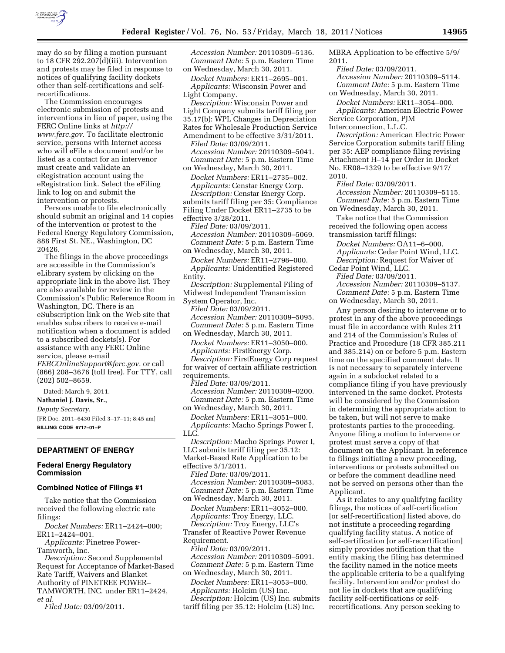

may do so by filing a motion pursuant to 18 CFR 292.207(d)(iii). Intervention and protests may be filed in response to notices of qualifying facility dockets other than self-certifications and self-

recertifications. The Commission encourages electronic submission of protests and interventions in lieu of paper, using the FERC Online links at *[http://](http://www.ferc.gov)  [www.ferc.gov.](http://www.ferc.gov)* To facilitate electronic service, persons with Internet access who will eFile a document and/or be listed as a contact for an intervenor must create and validate an eRegistration account using the eRegistration link. Select the eFiling link to log on and submit the intervention or protests.

Persons unable to file electronically should submit an original and 14 copies of the intervention or protest to the Federal Energy Regulatory Commission, 888 First St. NE., Washington, DC 20426.

The filings in the above proceedings are accessible in the Commission's eLibrary system by clicking on the appropriate link in the above list. They are also available for review in the Commission's Public Reference Room in Washington, DC. There is an eSubscription link on the Web site that enables subscribers to receive e-mail notification when a document is added to a subscribed dockets(s). For assistance with any FERC Online service, please e-mail *[FERCOnlineSupport@ferc.gov.](mailto:FERCOnlineSupport@ferc.gov)* or call (866) 208–3676 (toll free). For TTY, call (202) 502–8659.

Dated: March 9, 2011. **Nathaniel J. Davis, Sr.,**  *Deputy Secretary.*  [FR Doc. 2011–6430 Filed 3–17–11; 8:45 am] **BILLING CODE 6717–01–P** 

#### **DEPARTMENT OF ENERGY**

#### **Federal Energy Regulatory Commission**

# **Combined Notice of Filings #1**

Take notice that the Commission received the following electric rate filings:

*Docket Numbers:* ER11–2424–000; ER11–2424–001.

*Applicants:* Pinetree Power-Tamworth, Inc.

*Description:* Second Supplemental Request for Acceptance of Market-Based Rate Tariff, Waivers and Blanket Authority of PINETREE POWER– TAMWORTH, INC. under ER11–2424, *et al.* 

*Filed Date:* 03/09/2011.

*Accession Number:* 20110309–5136. *Comment Date:* 5 p.m. Eastern Time on Wednesday, March 30, 2011.

*Docket Numbers:* ER11–2695–001. *Applicants:* Wisconsin Power and Light Company.

*Description:* Wisconsin Power and Light Company submits tariff filing per 35.17(b): WPL Changes in Depreciation Rates for Wholesale Production Service Amendment to be effective 3/31/2011.

*Filed Date:* 03/09/2011. *Accession Number:* 20110309–5041. *Comment Date:* 5 p.m. Eastern Time

on Wednesday, March 30, 2011. *Docket Numbers:* ER11–2735–002. *Applicants:* Censtar Energy Corp. *Description:* Censtar Energy Corp. submits tariff filing per 35: Compliance Filing Under Docket ER11–2735 to be

effective 3/28/2011. *Filed Date:* 03/09/2011. *Accession Number:* 20110309–5069.

*Comment Date:* 5 p.m. Eastern Time on Wednesday, March 30, 2011.

*Docket Numbers:* ER11–2798–000. *Applicants:* Unidentified Registered Entity.

*Description:* Supplemental Filing of Midwest Independent Transmission System Operator, Inc.

*Filed Date:* 03/09/2011. *Accession Number:* 20110309–5095. *Comment Date:* 5 p.m. Eastern Time

on Wednesday, March 30, 2011. *Docket Numbers:* ER11–3050–000. *Applicants:* FirstEnergy Corp.

*Description:* FirstEnergy Corp request for waiver of certain affiliate restriction requirements.

*Filed Date:* 03/09/2011. *Accession Number:* 20110309–0200. *Comment Date:* 5 p.m. Eastern Time on Wednesday, March 30, 2011.

*Docket Numbers:* ER11–3051–000. *Applicants:* Macho Springs Power I, LLC.

*Description:* Macho Springs Power I, LLC submits tariff filing per 35.12: Market-Based Rate Application to be effective 5/1/2011.

*Filed Date:* 03/09/2011. *Accession Number:* 20110309–5083. *Comment Date:* 5 p.m. Eastern Time

on Wednesday, March 30, 2011. *Docket Numbers:* ER11–3052–000. *Applicants:* Troy Energy, LLC. *Description:* Troy Energy, LLC's Transfer of Reactive Power Revenue Requirement. *Filed Date:* 03/09/2011.

*Accession Number:* 20110309–5091. *Comment Date:* 5 p.m. Eastern Time on Wednesday, March 30, 2011.

*Docket Numbers:* ER11–3053–000. *Applicants:* Holcim (US) Inc. *Description:* Holcim (US) Inc. submits

tariff filing per 35.12: Holcim (US) Inc.

MBRA Application to be effective 5/9/ 2011.

*Filed Date:* 03/09/2011.

*Accession Number:* 20110309–5114. *Comment Date:* 5 p.m. Eastern Time on Wednesday, March 30, 2011.

*Docket Numbers:* ER11–3054–000. *Applicants:* American Electric Power Service Corporation, PJM Interconnection, L.L.C.

*Description:* American Electric Power Service Corporation submits tariff filing per 35: AEP compliance filing revising Attachment H–14 per Order in Docket No. ER08–1329 to be effective 9/17/ 2010.

*Filed Date:* 03/09/2011. *Accession Number:* 20110309–5115. *Comment Date:* 5 p.m. Eastern Time on Wednesday, March 30, 2011.

Take notice that the Commission received the following open access transmission tariff filings:

*Docket Numbers:* OA11–6–000. *Applicants:* Cedar Point Wind, LLC. *Description:* Request for Waiver of

Cedar Point Wind, LLC.

*Filed Date:* 03/09/2011.

*Accession Number:* 20110309–5137. *Comment Date:* 5 p.m. Eastern Time on Wednesday, March 30, 2011.

Any person desiring to intervene or to protest in any of the above proceedings must file in accordance with Rules 211 and 214 of the Commission's Rules of Practice and Procedure (18 CFR 385.211 and 385.214) on or before 5 p.m. Eastern time on the specified comment date. It is not necessary to separately intervene again in a subdocket related to a compliance filing if you have previously intervened in the same docket. Protests will be considered by the Commission in determining the appropriate action to be taken, but will not serve to make protestants parties to the proceeding. Anyone filing a motion to intervene or protest must serve a copy of that document on the Applicant. In reference to filings initiating a new proceeding, interventions or protests submitted on or before the comment deadline need not be served on persons other than the Applicant.

As it relates to any qualifying facility filings, the notices of self-certification [or self-recertification] listed above, do not institute a proceeding regarding qualifying facility status. A notice of self-certification [or self-recertification] simply provides notification that the entity making the filing has determined the facility named in the notice meets the applicable criteria to be a qualifying facility. Intervention and/or protest do not lie in dockets that are qualifying facility self-certifications or selfrecertifications. Any person seeking to